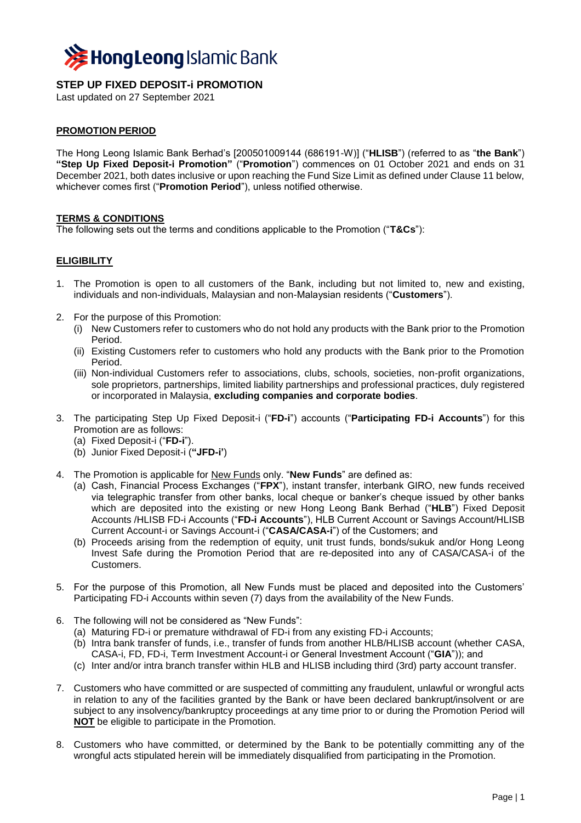

# **STEP UP FIXED DEPOSIT-i PROMOTION**

Last updated on 27 September 2021

### **PROMOTION PERIOD**

The Hong Leong Islamic Bank Berhad's [200501009144 (686191-W)] ("**HLISB**") (referred to as "**the Bank**") **"Step Up Fixed Deposit-i Promotion"** ("**Promotion**") commences on 01 October 2021 and ends on 31 December 2021, both dates inclusive or upon reaching the Fund Size Limit as defined under Clause 11 below, whichever comes first ("**Promotion Period**"), unless notified otherwise.

#### **TERMS & CONDITIONS**

The following sets out the terms and conditions applicable to the Promotion ("**T&Cs**"):

# **ELIGIBILITY**

- 1. The Promotion is open to all customers of the Bank, including but not limited to, new and existing, individuals and non-individuals, Malaysian and non-Malaysian residents ("**Customers**").
- 2. For the purpose of this Promotion:
	- (i) New Customers refer to customers who do not hold any products with the Bank prior to the Promotion Period.
	- (ii) Existing Customers refer to customers who hold any products with the Bank prior to the Promotion Period.
	- (iii) Non-individual Customers refer to associations, clubs, schools, societies, non-profit organizations, sole proprietors, partnerships, limited liability partnerships and professional practices, duly registered or incorporated in Malaysia, **excluding companies and corporate bodies**.
- 3. The participating Step Up Fixed Deposit-i ("**FD-i**") accounts ("**Participating FD-i Accounts**") for this Promotion are as follows:
	- (a) Fixed Deposit-i ("**FD-i**").
	- (b) Junior Fixed Deposit-i (**"JFD-i'**)
- 4. The Promotion is applicable for New Funds only. "**New Funds**" are defined as:
	- (a) Cash, Financial Process Exchanges ("**FPX**"), instant transfer, interbank GIRO, new funds received via telegraphic transfer from other banks, local cheque or banker's cheque issued by other banks which are deposited into the existing or new Hong Leong Bank Berhad ("**HLB**") Fixed Deposit Accounts /HLISB FD-i Accounts ("**FD-i Accounts**"), HLB Current Account or Savings Account/HLISB Current Account-i or Savings Account-i ("**CASA/CASA-i**") of the Customers; and
	- (b) Proceeds arising from the redemption of equity, unit trust funds, bonds/sukuk and/or Hong Leong Invest Safe during the Promotion Period that are re-deposited into any of CASA/CASA-i of the Customers.
- 5. For the purpose of this Promotion, all New Funds must be placed and deposited into the Customers' Participating FD-i Accounts within seven (7) days from the availability of the New Funds.
- 6. The following will not be considered as "New Funds":
	- (a) Maturing FD-i or premature withdrawal of FD-i from any existing FD-i Accounts;
	- (b) Intra bank transfer of funds, i.e., transfer of funds from another HLB/HLISB account (whether CASA, CASA-i, FD, FD-i, Term Investment Account-i or General Investment Account ("**GIA**")); and
	- (c) Inter and/or intra branch transfer within HLB and HLISB including third (3rd) party account transfer.
- 7. Customers who have committed or are suspected of committing any fraudulent, unlawful or wrongful acts in relation to any of the facilities granted by the Bank or have been declared bankrupt/insolvent or are subject to any insolvency/bankruptcy proceedings at any time prior to or during the Promotion Period will **NOT** be eligible to participate in the Promotion.
- 8. Customers who have committed, or determined by the Bank to be potentially committing any of the wrongful acts stipulated herein will be immediately disqualified from participating in the Promotion.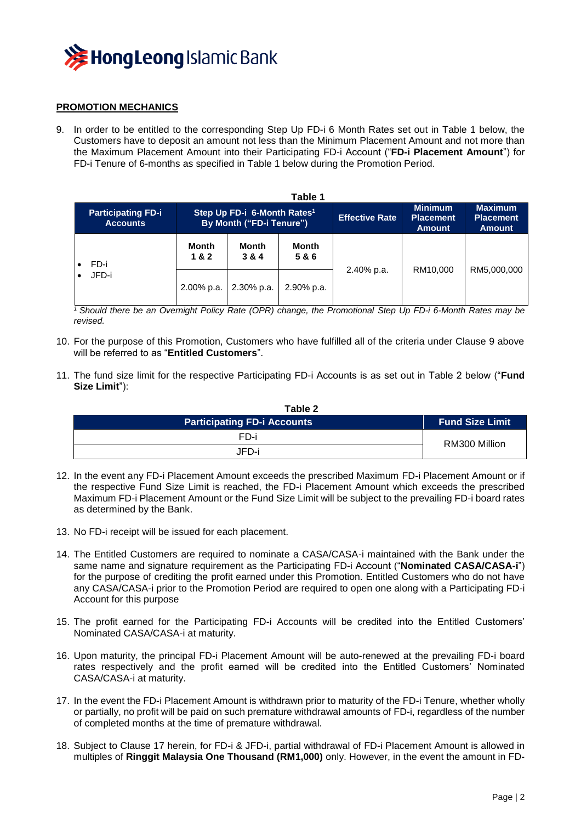

### **PROMOTION MECHANICS**

9. In order to be entitled to the corresponding Step Up FD-i 6 Month Rates set out in Table 1 below, the Customers have to deposit an amount not less than the Minimum Placement Amount and not more than the Maximum Placement Amount into their Participating FD-i Account ("**FD-i Placement Amount**") for FD-i Tenure of 6-months as specified in Table 1 below during the Promotion Period.

| Table 1                                      |                                                                     |                |                     |                       |                                                     |                                                     |  |
|----------------------------------------------|---------------------------------------------------------------------|----------------|---------------------|-----------------------|-----------------------------------------------------|-----------------------------------------------------|--|
| <b>Participating FD-i</b><br><b>Accounts</b> | Step Up FD-i 6-Month Rates <sup>1</sup><br>By Month ("FD-i Tenure") |                |                     | <b>Effective Rate</b> | <b>Minimum</b><br><b>Placement</b><br><b>Amount</b> | <b>Maximum</b><br><b>Placement</b><br><b>Amount</b> |  |
| FD-i<br>JFD-i                                | <b>Month</b><br>1&2                                                 | Month<br>3 & 4 | <b>Month</b><br>5&6 | 2.40% p.a.            | RM10.000                                            | RM5.000.000                                         |  |
|                                              | 2.00% p.a.                                                          | 2.30% p.a.     | 2.90% p.a.          |                       |                                                     |                                                     |  |

*<sup>1</sup>Should there be an Overnight Policy Rate (OPR) change, the Promotional Step Up FD-i 6-Month Rates may be revised.*

- 10. For the purpose of this Promotion, Customers who have fulfilled all of the criteria under Clause 9 above will be referred to as "**Entitled Customers**".
- 11. The fund size limit for the respective Participating FD-i Accounts is as set out in Table 2 below ("**Fund Size Limit**"):

| Table 2                            |                        |  |  |  |  |
|------------------------------------|------------------------|--|--|--|--|
| <b>Participating FD-i Accounts</b> | <b>Fund Size Limit</b> |  |  |  |  |
| FD-i                               | RM300 Million          |  |  |  |  |
| JFD-i                              |                        |  |  |  |  |

- 12. In the event any FD-i Placement Amount exceeds the prescribed Maximum FD-i Placement Amount or if the respective Fund Size Limit is reached, the FD-i Placement Amount which exceeds the prescribed Maximum FD-i Placement Amount or the Fund Size Limit will be subject to the prevailing FD-i board rates as determined by the Bank.
- 13. No FD-i receipt will be issued for each placement.
- 14. The Entitled Customers are required to nominate a CASA/CASA-i maintained with the Bank under the same name and signature requirement as the Participating FD-i Account ("**Nominated CASA/CASA-i**") for the purpose of crediting the profit earned under this Promotion. Entitled Customers who do not have any CASA/CASA-i prior to the Promotion Period are required to open one along with a Participating FD-i Account for this purpose
- 15. The profit earned for the Participating FD-i Accounts will be credited into the Entitled Customers' Nominated CASA/CASA-i at maturity.
- 16. Upon maturity, the principal FD-i Placement Amount will be auto-renewed at the prevailing FD-i board rates respectively and the profit earned will be credited into the Entitled Customers' Nominated CASA/CASA-i at maturity.
- 17. In the event the FD-i Placement Amount is withdrawn prior to maturity of the FD-i Tenure, whether wholly or partially, no profit will be paid on such premature withdrawal amounts of FD-i, regardless of the number of completed months at the time of premature withdrawal.
- 18. Subject to Clause 17 herein, for FD-i & JFD-i, partial withdrawal of FD-i Placement Amount is allowed in multiples of **Ringgit Malaysia One Thousand (RM1,000)** only. However, in the event the amount in FD-